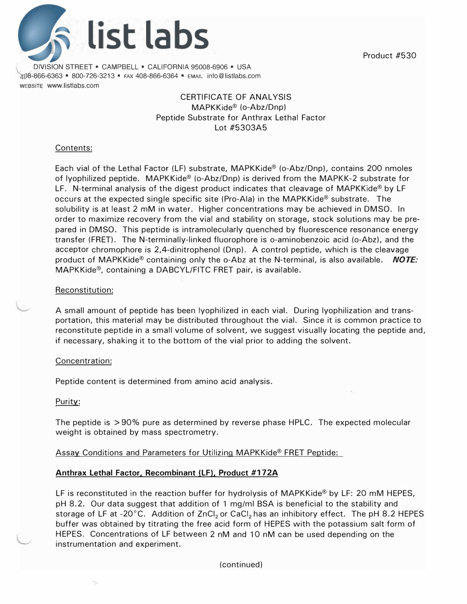Product #530



DIVISION STREET ■ CAMPBELL ■ CALIFORNIA 95008-6906 ■ USA 8-866-6363 ■ 800-726-3213 ■ FAX 408-866-6364 ■ EMAIL info@listlabs.com WEBSITE www.listlabs.com

# CERTIFICATE OF ANALYSIS MAPKKide® (o-Abz/Dnp) Peptide Substrate for Anthrax Lethal Factor Lot #5303A5

### Contents:

Each vial of the Lethal Factor (LF) substrate, MAPKKide® (o-Abz/Dnp), contains 200 nmoles of lyophilized peptide. MAPKKide® (o-Abz/Dnp) is derived from the MAPKK-2 substrate for LF. N-terminal analysis of the digest product indicates that cleavage of MAPKKide® by LF occurs at the expected single specific site (Pro-Ala) in the MAPKKide® substrate. The solubility is at least 2 mM in water. Higher concentrations may be achieved in DMSO. In order to maximize recovery from the vial and stability on storage, stock solutions may be prepared in DMSO. This peptide is intramolecularly quenched by fluorescence resonance energy transfer (FRET). The N-terminally-linked fluorophore is o-aminobenzoic acid (o-Abz), and the acceptor chromophore is 2,4-dinitrophenol (Dnp). A control peptide, which is the cleavage product of MAPKKide® containing only the o-Abz at the N-terminal, is also available. *NOTE:* **MAPKKide®,** containing a DABCYL/FITC FRET pair, is available.

### Reconstitution:

A small amount of peptide has been lyophilized in each vial. During lyophilization and transportation, this material may be distributed throughout the vial. Since it is common practice to reconstitute peptide in a small volume of solvent, we suggest visually locating the peptide and, if necessary, shaking it to the bottom of the vial prior to adding the solvent.

# Concentration:

Peptide content is determined from amino acid analysis.

Purity:

The peptide is > 90% pure as determined by reverse phase HPLC. The expected molecular weight is obtained by mass spectrometry.

Assay Conditions and Parameters for Utilizing MAPKKide® FRET Peptide:

# **Anthrax Lethal Factor. Recombinant (LF), Product #172A**

LF is reconstituted in the reaction buffer for hydrolysis of MAPKKide® by LF: 20 mM HEPES, pH 8.2. Our data suggest that addition of 1 mg/ml BSA is beneficial to the stability and storage of LF at -20°C. Addition of ZnCl<sub>2</sub> or CaCl<sub>2</sub> has an inhibitory effect. The pH 8.2 HEPES buffer was obtained by titrating the free acid form of HEPES with the potassium salt form of HEPES. Concentrations of LF between 2 nM and 10 nM can be used depending on the instrumentation and experiment.